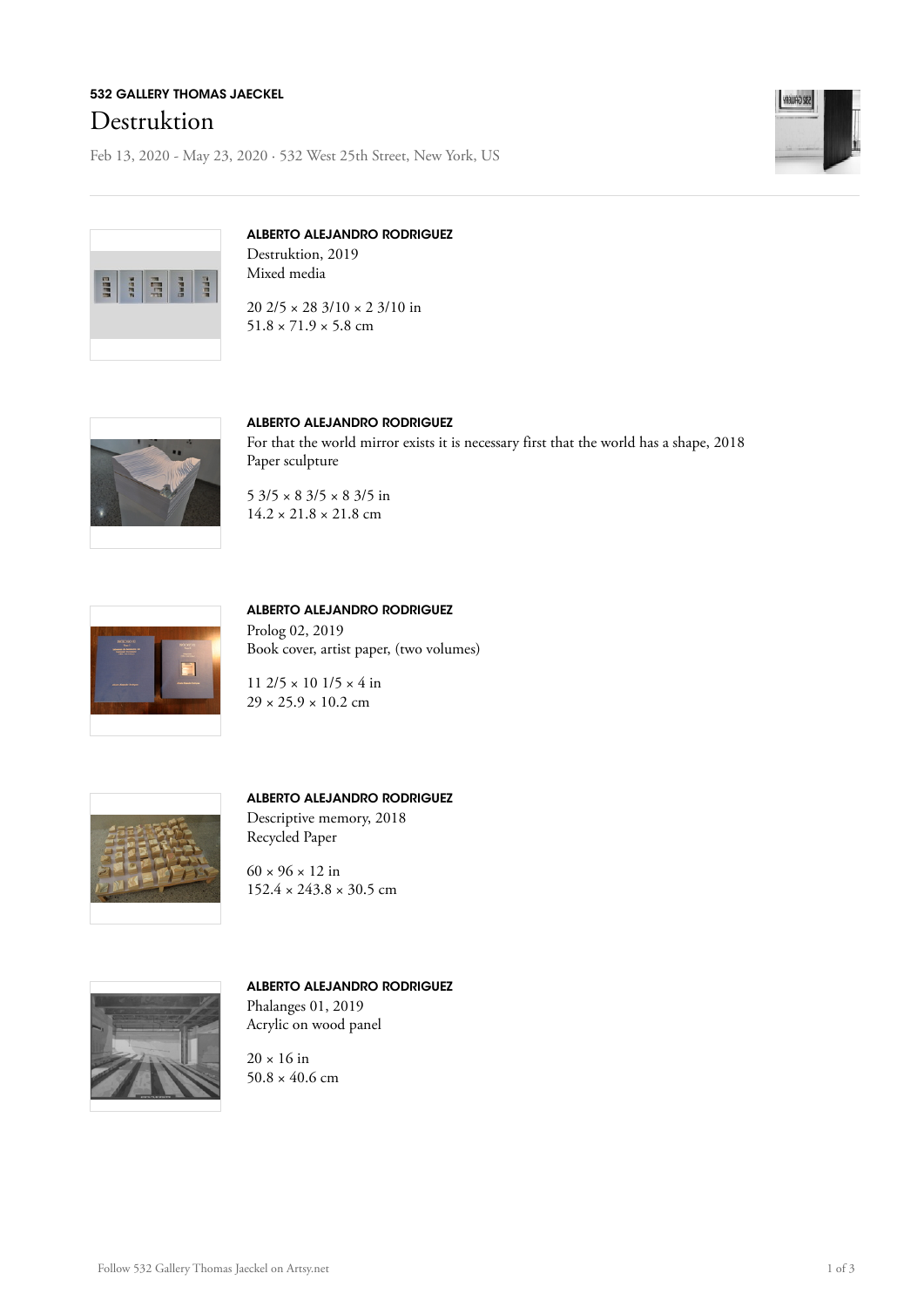## 532 GALLERY THOMAS JAECKEL Destruktion

Feb 13, 2020 - May 23, 2020 · 532 West 25th Street, New York, US





## ALBERTO ALEJANDRO RODRIGUEZ

Destruktion, 2019 Mixed media

20 2/5 × 28 3/10 × 2 3/10 in  $51.8 \times 71.9 \times 5.8$  cm



#### ALBERTO ALEJANDRO RODRIGUEZ

For that the world mirror exists it is necessary first that the world has a shape, 2018 Paper sculpture

 $5\frac{3}{5} \times 8\frac{3}{5} \times 8\frac{3}{5}$  in  $14.2 \times 21.8 \times 21.8$  cm



#### ALBERTO ALEJANDRO RODRIGUEZ Prolog 02, 2019

Book cover, artist paper, (two volumes)

11 2/5 × 10 1/5 × 4 in  $29 \times 25.9 \times 10.2$  cm



#### ALBERTO ALEJANDRO RODRIGUEZ

Descriptive memory, 2018 Recycled Paper

 $60 \times 96 \times 12$  in  $152.4 \times 243.8 \times 30.5$  cm



#### ALBERTO ALEJANDRO RODRIGUEZ Phalanges 01, 2019

Acrylic on wood panel

 $20 \times 16$  in  $50.8 \times 40.6$  cm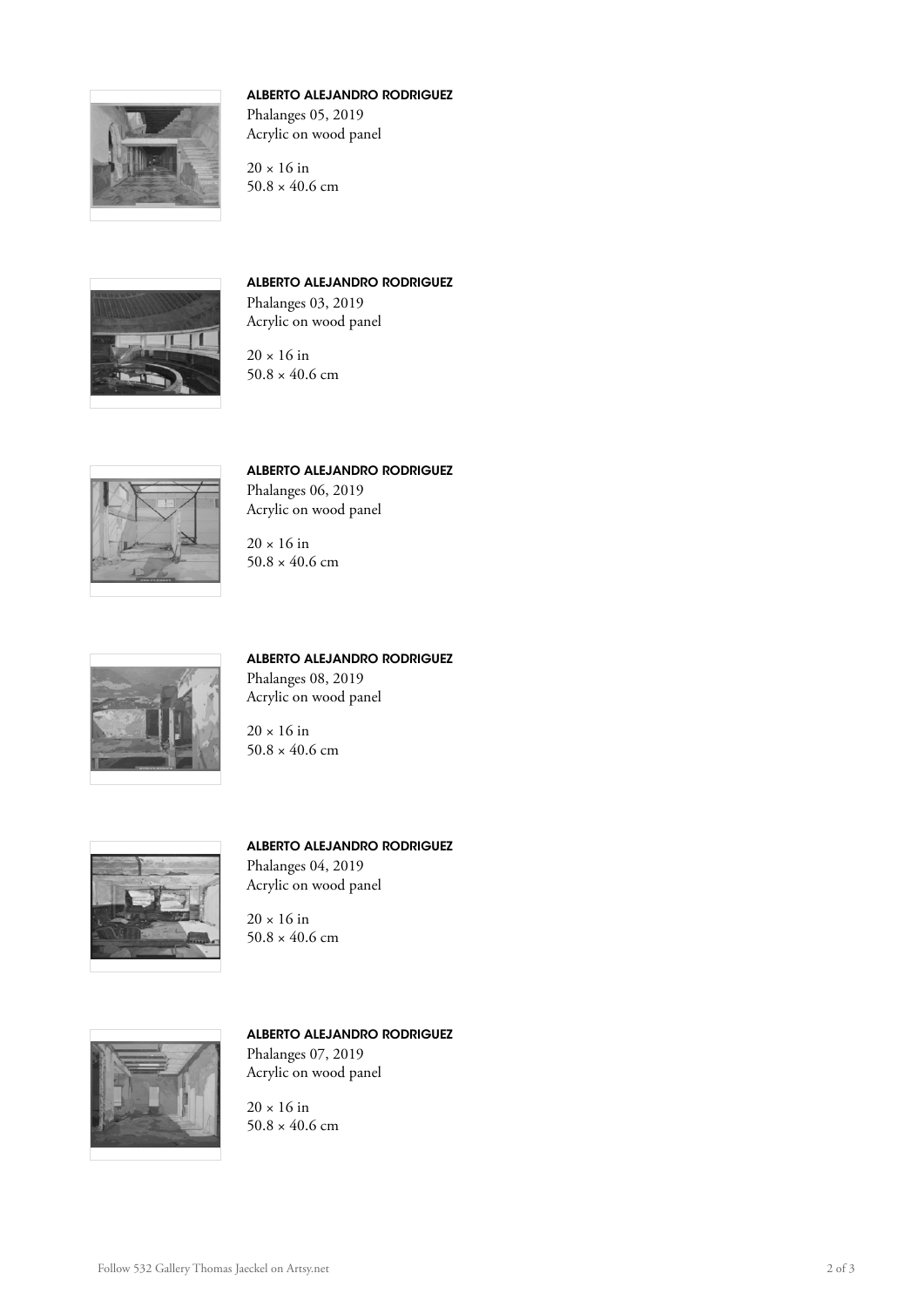

### ALBERTO ALEJANDRO RODRIGUEZ

Phalanges 05, 2019 Acrylic on wood panel

 $20 \times 16$  in  $50.8 \times 40.6$  cm



#### ALBERTO ALEJANDRO RODRIGUEZ

Phalanges 03, 2019 Acrylic on wood panel



 $20 \times 16$  in  $50.8 \times 40.6$  cm



ALBERTO ALEJANDRO RODRIGUEZ Phalanges 06, 2019

Acrylic on wood panel

 $20 \times 16$  in  $50.8 \times 40.6$  cm



ALBERTO ALEJANDRO RODRIGUEZ Phalanges 08, 2019 Acrylic on wood panel

 $20 \times 16$  in  $50.8 \times 40.6$  cm



ALBERTO ALEJANDRO RODRIGUEZ

Phalanges 04, 2019 Acrylic on wood panel

 $20 \times 16$  in  $50.8 \times 40.6$  cm



# ALBERTO ALEJANDRO RODRIGUEZ

Phalanges 07, 2019 Acrylic on wood panel

 $20 \times 16$  in  $50.8 \times 40.6$  cm